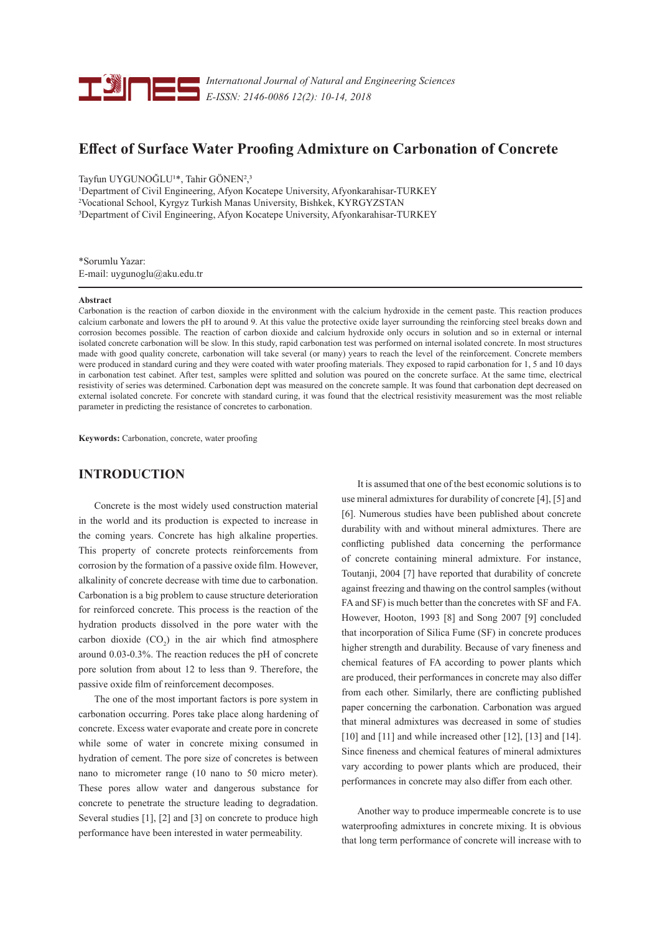

*Internatıonal Journal of Natural and Engineering Sciences E-ISSN: 2146-0086 12(2): 10-14, 2018*

# **Effect of Surface Water Proofing Admixture on Carbonation of Concrete**

Tayfun UYGUNOĞLU<sup>1\*</sup>, Tahir GÖNEN<sup>2</sup>,<sup>3</sup>

1 Department of Civil Engineering, Afyon Kocatepe University, Afyonkarahisar-TURKEY 2 Vocational School, Kyrgyz Turkish Manas University, Bishkek, KYRGYZSTAN 3Department of Civil Engineering, Afyon Kocatepe University, Afyonkarahisar-TURKEY

\*Sorumlu Yazar: E-mail: uygunoglu@aku.edu.tr

#### **Abstract**

Carbonation is the reaction of carbon dioxide in the environment with the calcium hydroxide in the cement paste. This reaction produces calcium carbonate and lowers the pH to around 9. At this value the protective oxide layer surrounding the reinforcing steel breaks down and corrosion becomes possible. The reaction of carbon dioxide and calcium hydroxide only occurs in solution and so in external or internal isolated concrete carbonation will be slow. In this study, rapid carbonation test was performed on internal isolated concrete. In most structures made with good quality concrete, carbonation will take several (or many) years to reach the level of the reinforcement. Concrete members were produced in standard curing and they were coated with water proofing materials. They exposed to rapid carbonation for 1, 5 and 10 days in carbonation test cabinet. After test, samples were splitted and solution was poured on the concrete surface. At the same time, electrical resistivity of series was determined. Carbonation dept was measured on the concrete sample. It was found that carbonation dept decreased on external isolated concrete. For concrete with standard curing, it was found that the electrical resistivity measurement was the most reliable parameter in predicting the resistance of concretes to carbonation.

**Keywords:** Carbonation, concrete, water proofing

## **INTRODUCTION**

Concrete is the most widely used construction material in the world and its production is expected to increase in the coming years. Concrete has high alkaline properties. This property of concrete protects reinforcements from corrosion by the formation of a passive oxide film. However, alkalinity of concrete decrease with time due to carbonation. Carbonation is a big problem to cause structure deterioration for reinforced concrete. This process is the reaction of the hydration products dissolved in the pore water with the carbon dioxide  $(CO_2)$  in the air which find atmosphere around 0.03-0.3%. The reaction reduces the pH of concrete pore solution from about 12 to less than 9. Therefore, the passive oxide film of reinforcement decomposes.

The one of the most important factors is pore system in carbonation occurring. Pores take place along hardening of concrete. Excess water evaporate and create pore in concrete while some of water in concrete mixing consumed in hydration of cement. The pore size of concretes is between nano to micrometer range (10 nano to 50 micro meter). These pores allow water and dangerous substance for concrete to penetrate the structure leading to degradation. Several studies [1], [2] and [3] on concrete to produce high performance have been interested in water permeability.

It is assumed that one of the best economic solutions is to use mineral admixtures for durability of concrete [4], [5] and [6]. Numerous studies have been published about concrete durability with and without mineral admixtures. There are conflicting published data concerning the performance of concrete containing mineral admixture. For instance, Toutanji, 2004 [7] have reported that durability of concrete against freezing and thawing on the control samples (without FA and SF) is much better than the concretes with SF and FA. However, Hooton, 1993 [8] and Song 2007 [9] concluded that incorporation of Silica Fume (SF) in concrete produces higher strength and durability. Because of vary fineness and chemical features of FA according to power plants which are produced, their performances in concrete may also differ from each other. Similarly, there are conflicting published paper concerning the carbonation. Carbonation was argued that mineral admixtures was decreased in some of studies  $[10]$  and  $[11]$  and while increased other  $[12]$ ,  $[13]$  and  $[14]$ . Since fineness and chemical features of mineral admixtures vary according to power plants which are produced, their performances in concrete may also differ from each other.

Another way to produce impermeable concrete is to use waterproofing admixtures in concrete mixing. It is obvious that long term performance of concrete will increase with to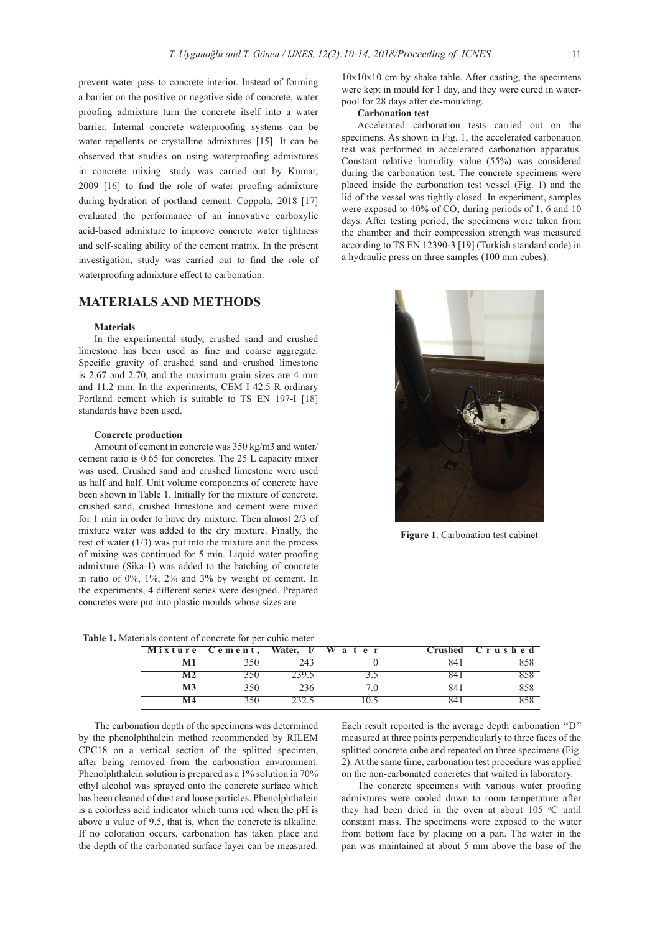prevent water pass to concrete interior. Instead of forming a barrier on the positive or negative side of concrete, water proofing admixture turn the concrete itself into a water barrier. Internal concrete waterproofing systems can be water repellents or crystalline admixtures [15]. It can be observed that studies on using waterproofing admixtures in concrete mixing. study was carried out by Kumar, 2009 [16] to find the role of water proofing admixture during hydration of portland cement. Coppola, 2018 [17] evaluated the performance of an innovative carboxylic acid-based admixture to improve concrete water tightness and self-sealing ability of the cement matrix. In the present investigation, study was carried out to find the role of waterproofing admixture effect to carbonation.

## **MATERIALS AND METHODS**

#### **Materials**

In the experimental study, crushed sand and crushed limestone has been used as fine and coarse aggregate. Specific gravity of crushed sand and crushed limestone is 2.67 and 2.70, and the maximum grain sizes are 4 mm and 11.2 mm. In the experiments, CEM I 42.5 R ordinary Portland cement which is suitable to TS EN 197-I [18] standards have been used.

#### **Concrete production**

Amount of cement in concrete was 350 kg/m3 and water/ cement ratio is 0.65 for concretes. The 25 L capacity mixer was used. Crushed sand and crushed limestone were used as half and half. Unit volume components of concrete have been shown in Table 1. Initially for the mixture of concrete, crushed sand, crushed limestone and cement were mixed for 1 min in order to have dry mixture. Then almost 2/3 of mixture water was added to the dry mixture. Finally, the rest of water  $(1/3)$  was put into the mixture and the process of mixing was continued for 5 min. Liquid water proofing admixture (Sika-1) was added to the batching of concrete in ratio of 0%, 1%, 2% and 3% by weight of cement. In the experiments, 4 different series were designed. Prepared concretes were put into plastic moulds whose sizes are

10x10x10 cm by shake table. After casting, the specimens were kept in mould for 1 day, and they were cured in waterpool for 28 days after de-moulding.

#### **Carbonation test**

Accelerated carbonation tests carried out on the specimens. As shown in Fig. 1, the accelerated carbonation test was performed in accelerated carbonation apparatus. Constant relative humidity value (55%) was considered during the carbonation test. The concrete specimens were placed inside the carbonation test vessel (Fig. 1) and the lid of the vessel was tightly closed. In experiment, samples were exposed to 40% of  $CO_2$  during periods of 1, 6 and 10 days. After testing period, the specimens were taken from the chamber and their compression strength was measured according to TS EN 12390-3 [19] (Turkish standard code) in a hydraulic press on three samples (100 mm cubes).



**Figure 1**. Carbonation test cabinet

| <b>Table 1.</b> Materials content of concrete for per cubic meter |  |  |  |  |  |
|-------------------------------------------------------------------|--|--|--|--|--|
|-------------------------------------------------------------------|--|--|--|--|--|

| Mixture Cement, Water, I/W a ter |  | Crushed Crushed |
|----------------------------------|--|-----------------|
|                                  |  |                 |
|                                  |  |                 |
|                                  |  |                 |
|                                  |  |                 |

The carbonation depth of the specimens was determined by the phenolphthalein method recommended by RILEM CPC18 on a vertical section of the splitted specimen, after being removed from the carbonation environment. Phenolphthalein solution is prepared as a 1% solution in 70% ethyl alcohol was sprayed onto the concrete surface which has been cleaned of dust and loose particles. Phenolphthalein is a colorless acid indicator which turns red when the pH is above a value of 9.5, that is, when the concrete is alkaline. If no coloration occurs, carbonation has taken place and the depth of the carbonated surface layer can be measured. Each result reported is the average depth carbonation ''D'' measured at three points perpendicularly to three faces of the splitted concrete cube and repeated on three specimens (Fig. 2). At the same time, carbonation test procedure was applied on the non-carbonated concretes that waited in laboratory.

The concrete specimens with various water proofing admixtures were cooled down to room temperature after they had been dried in the oven at about  $105$  °C until constant mass. The specimens were exposed to the water from bottom face by placing on a pan. The water in the pan was maintained at about 5 mm above the base of the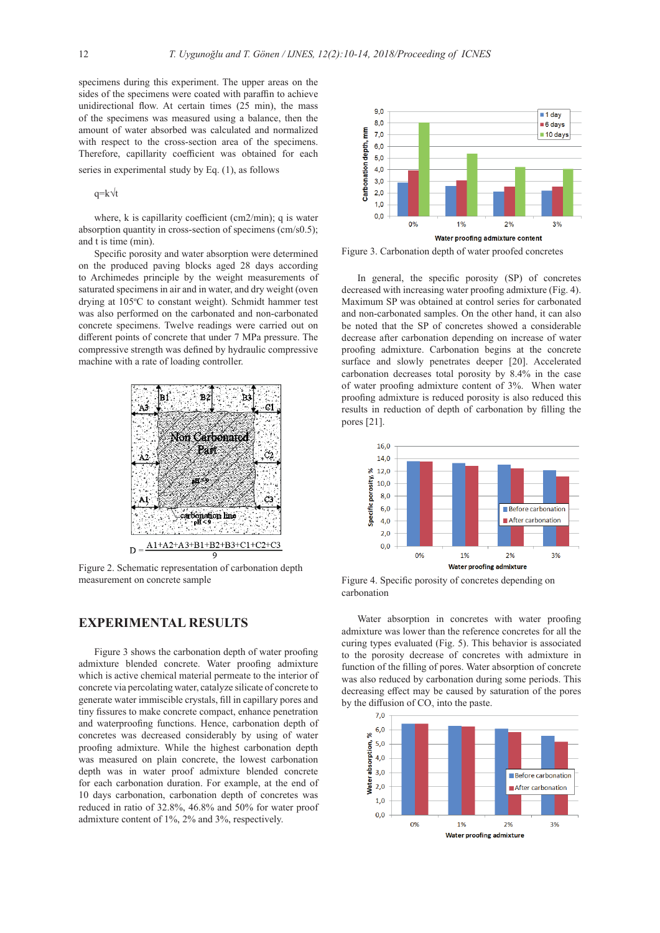specimens during this experiment. The upper areas on the sides of the specimens were coated with paraffin to achieve unidirectional flow. At certain times (25 min), the mass of the specimens was measured using a balance, then the amount of water absorbed was calculated and normalized with respect to the cross-section area of the specimens. Therefore, capillarity coefficient was obtained for each series in experimental study by Eq. (1), as follows

q=k√t

where, k is capillarity coefficient (cm2/min); q is water absorption quantity in cross-section of specimens (cm/s0.5); and t is time (min).

Specific porosity and water absorption were determined on the produced paving blocks aged 28 days according to Archimedes principle by the weight measurements of saturated specimens in air and in water, and dry weight (oven drying at 105°C to constant weight). Schmidt hammer test was also performed on the carbonated and non-carbonated concrete specimens. Twelve readings were carried out on different points of concrete that under 7 MPa pressure. The compressive strength was defined by hydraulic compressive machine with a rate of loading controller.



Figure 2. Schematic representation of carbonation depth measurement on concrete sample

## **EXPERIMENTAL RESULTS**

Figure 3 shows the carbonation depth of water proofing admixture blended concrete. Water proofing admixture which is active chemical material permeate to the interior of concrete via percolating water, catalyze silicate of concrete to generate water immiscible crystals, fill in capillary pores and tiny fissures to make concrete compact, enhance penetration and waterproofing functions. Hence, carbonation depth of concretes was decreased considerably by using of water proofing admixture. While the highest carbonation depth was measured on plain concrete, the lowest carbonation depth was in water proof admixture blended concrete for each carbonation duration. For example, at the end of 10 days carbonation, carbonation depth of concretes was reduced in ratio of 32.8%, 46.8% and 50% for water proof admixture content of 1%, 2% and 3%, respectively.



Figure 3. Carbonation depth of water proofed concretes

In general, the specific porosity (SP) of concretes decreased with increasing water proofing admixture (Fig. 4). Maximum SP was obtained at control series for carbonated and non-carbonated samples. On the other hand, it can also be noted that the SP of concretes showed a considerable decrease after carbonation depending on increase of water proofing admixture. Carbonation begins at the concrete surface and slowly penetrates deeper [20]. Accelerated carbonation decreases total porosity by 8.4% in the case of water proofing admixture content of 3%. When water proofing admixture is reduced porosity is also reduced this results in reduction of depth of carbonation by filling the pores [21].



Figure 4. Specific porosity of concretes depending on carbonation

Water absorption in concretes with water proofing admixture was lower than the reference concretes for all the curing types evaluated (Fig. 5). This behavior is associated to the porosity decrease of concretes with admixture in function of the filling of pores. Water absorption of concrete was also reduced by carbonation during some periods. This decreasing effect may be caused by saturation of the pores by the diffusion of CO<sub>2</sub> into the paste.

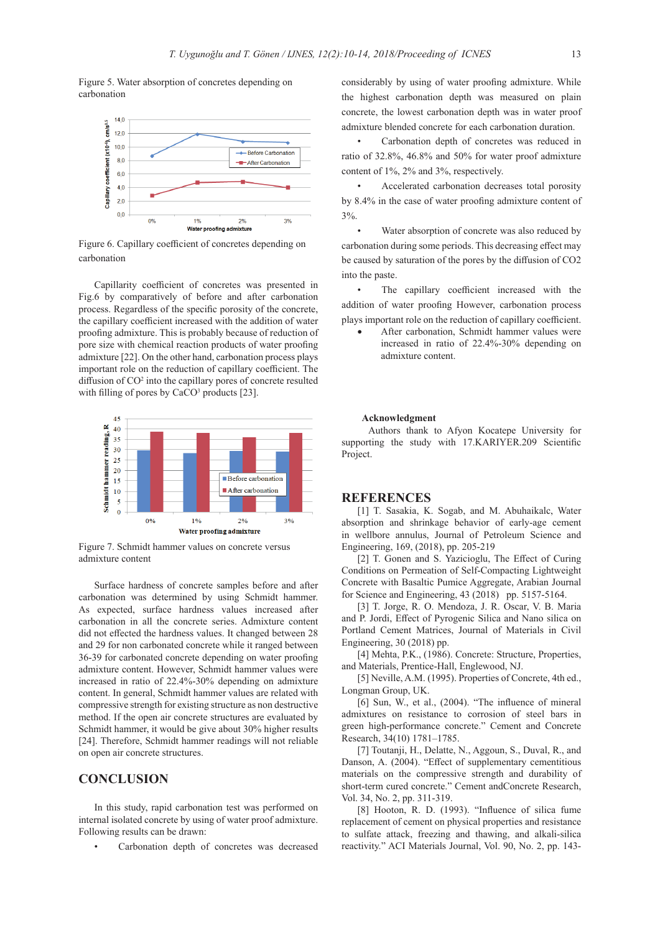Figure 5. Water absorption of concretes depending on carbonation



Figure 6. Capillary coefficient of concretes depending on carbonation

Capillarity coefficient of concretes was presented in Fig.6 by comparatively of before and after carbonation process. Regardless of the specific porosity of the concrete, the capillary coefficient increased with the addition of water proofing admixture. This is probably because of reduction of pore size with chemical reaction products of water proofing admixture [22]. On the other hand, carbonation process plays important role on the reduction of capillary coefficient. The diffusion of CO<sup>2</sup> into the capillary pores of concrete resulted with filling of pores by CaCO<sup>3</sup> products [23].



Figure 7. Schmidt hammer values on concrete versus admixture content

Surface hardness of concrete samples before and after carbonation was determined by using Schmidt hammer. As expected, surface hardness values increased after carbonation in all the concrete series. Admixture content did not effected the hardness values. It changed between 28 and 29 for non carbonated concrete while it ranged between 36-39 for carbonated concrete depending on water proofing admixture content. However, Schmidt hammer values were increased in ratio of 22.4%-30% depending on admixture content. In general, Schmidt hammer values are related with compressive strength for existing structure as non destructive method. If the open air concrete structures are evaluated by Schmidt hammer, it would be give about 30% higher results [24]. Therefore, Schmidt hammer readings will not reliable on open air concrete structures.

## **CONCLUSION**

In this study, rapid carbonation test was performed on internal isolated concrete by using of water proof admixture. Following results can be drawn:

Carbonation depth of concretes was decreased

considerably by using of water proofing admixture. While the highest carbonation depth was measured on plain concrete, the lowest carbonation depth was in water proof admixture blended concrete for each carbonation duration.

• Carbonation depth of concretes was reduced in ratio of 32.8%, 46.8% and 50% for water proof admixture content of 1%, 2% and 3%, respectively.

• Accelerated carbonation decreases total porosity by 8.4% in the case of water proofing admixture content of 3%.

Water absorption of concrete was also reduced by carbonation during some periods. This decreasing effect may be caused by saturation of the pores by the diffusion of CO2 into the paste.

• The capillary coefficient increased with the addition of water proofing However, carbonation process plays important role on the reduction of capillary coefficient.

After carbonation, Schmidt hammer values were increased in ratio of 22.4%-30% depending on admixture content.

#### **Acknowledgment**

 Authors thank to Afyon Kocatepe University for supporting the study with 17.KARIYER.209 Scientific Project.

### **REFERENCES**

[1] T. Sasakia, K. Sogab, and M. Abuhaikalc, Water absorption and shrinkage behavior of early-age cement in wellbore annulus, Journal of Petroleum Science and Engineering, 169, (2018), pp. 205-219

[2] T. Gonen and S. Yazicioglu, The Effect of Curing Conditions on Permeation of Self-Compacting Lightweight Concrete with Basaltic Pumice Aggregate, Arabian Journal for Science and Engineering, 43 (2018) pp. 5157-5164.

[3] T. Jorge, R. O. Mendoza, J. R. Oscar, V. B. Maria and P. Jordi, Effect of Pyrogenic Silica and Nano silica on Portland Cement Matrices, Journal of Materials in Civil Engineering, 30 (2018) pp.

[4] Mehta, P.K., (1986). Concrete: Structure, Properties, and Materials, Prentice-Hall, Englewood, NJ.

[5] Neville, A.M. (1995). Properties of Concrete, 4th ed., Longman Group, UK.

[6] Sun, W., et al., (2004). "The influence of mineral admixtures on resistance to corrosion of steel bars in green high-performance concrete." Cement and Concrete Research, 34(10) 1781–1785.

[7] Toutanji, H., Delatte, N., Aggoun, S., Duval, R., and Danson, A. (2004). "Effect of supplementary cementitious materials on the compressive strength and durability of short-term cured concrete." Cement andConcrete Research, Vol. 34, No. 2, pp. 311-319.

[8] Hooton, R. D. (1993). "Influence of silica fume replacement of cement on physical properties and resistance to sulfate attack, freezing and thawing, and alkali-silica reactivity." ACI Materials Journal, Vol. 90, No. 2, pp. 143